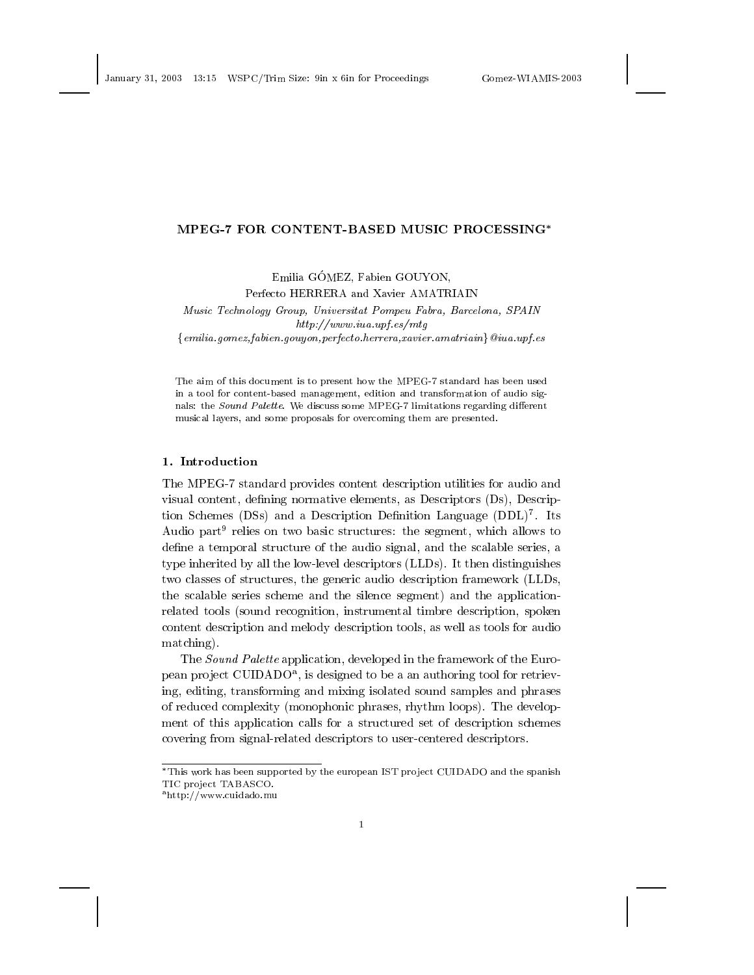## MPEG-7 FOR CONTENT-BASED MUSIC PROCESSING

Emilia GOMEZ, Fabien GOUYON,

Music Technology Group, Universitat Pompeu Fabra, Barcelona, SPAIN http://www.iua.upf.es/mtg

 ${emilia.gomez, fabien.gouyon, perfecto. herrera, xavier. amatriain}$  @iua.upf.es

The aim of this document is to present how the MPEG-7 standard has been used in a tool for content-based management, edition and transformation of audio signals: the Sound Palette. We discuss some MPEG-7 limitations regarding different musical layers, and some proposals for overcoming them are presented.

## 1. Introduction

The MPEG-7 standard provides content description utilities for audio and visual content, defining normative elements, as Descriptors (Ds), Description Schemes (DSs) and a Description Denition Language (DDL)7 . Its Audio part felles on two basic structures: the segment, which allows to define a temporal structure of the audio signal, and the scalable series, a type inherited by all the low-level descriptors (LLDs). It then distinguishes two classes of structures, the generic audio description framework (LLDs, the scalable series scheme and the silence segment) and the applicationrelated tools (sound recognition, instrumental timbre description, spoken content description and melody description tools, as well as tools for audio matching).

The *Sound Palette* application, developed in the framework of the European project CUIDADO", is designed to be a an authoring tool for retrieving, editing, transforming and mixing isolated sound samples and phrases of reduced complexity (monophonic phrases, rhythm loops). The development of this application calls for a structured set of description schemes covering from signal-related descriptors to user-centered descriptors.

<sup>\*</sup>This work has been supported by the european IST project CUIDADO and the spanish TIC project TABASCO.

ahttp://www.cuidado.mu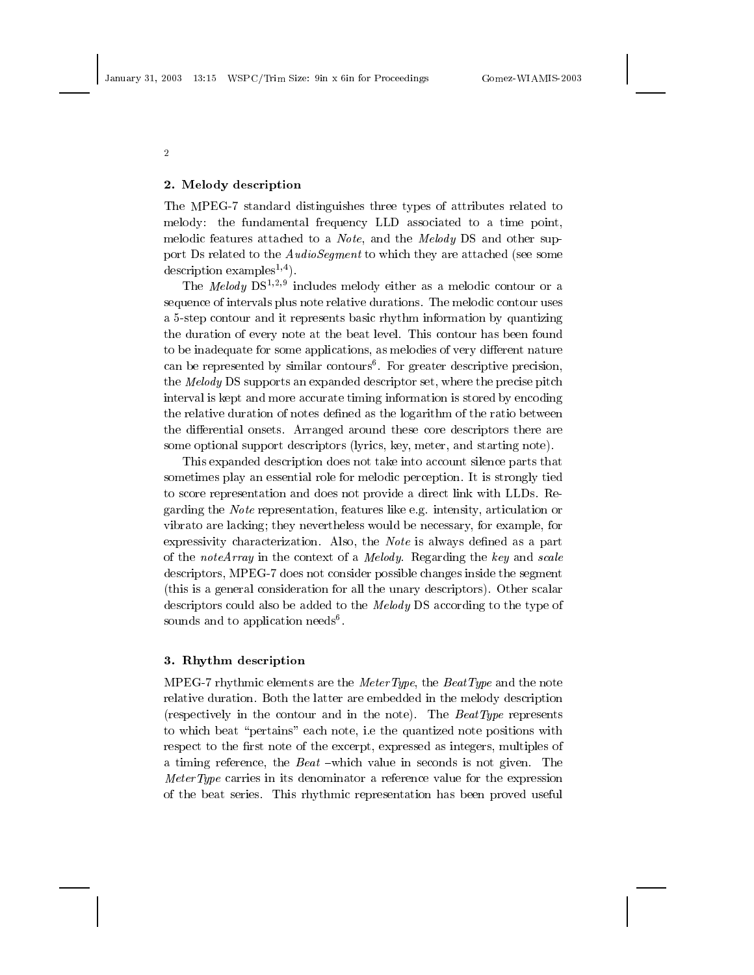## 2. Melody description

The MPEG-7 standard distinguishes three types of attributes related to melody: the fundamental frequency LLD associated to a time point, melodic features attached to a Note, and the Melody DS and other support Ds related to the *AudioSegment* to which they are attached (see some description examples<sup>-,-</sup>).

Ine *melody* DS<sup>-1-1</sup>; includes melody either as a melodic contour or a sequence of intervals plus note relative durations. The melodic contour uses a 5-step contour and it represents basic rhythm information by quantizing the duration of every note at the beat level. This contour has been found to be inadequate for some applications, as melodies of very different nature can be represented by similar contours . For greater descriptive precision, the *Melody* DS supports an expanded descriptor set, where the precise pitch interval is kept and more accurate timing information is stored by encoding the relative duration of notes defined as the logarithm of the ratio between the differential onsets. Arranged around these core descriptors there are some optional support descriptors (lyrics, key, meter, and starting note).

This expanded description does not take into account silence parts that sometimes play an essential role for melodic perception. It is strongly tied to score representation and does not provide a direct link with LLDs. Regarding the Note representation, features like e.g. intensity, articulation or vibrato are lacking; they nevertheless would be necessary, for example, for expressivity characterization. Also, the  $Note$  is always defined as a part of the *noteArray* in the context of a *Melody*. Regarding the key and scale descriptors, MPEG-7 does not consider possible changes inside the segment (this is a general consideration for all the unary descriptors). Other scalar descriptors could also be added to the Melody DS according to the type of  ${\rm sources}$  and to application needs .  $-$ 

# 3. Rhythm description

MPEG-7 rhythmic elements are the  $\text{Meter Type}$ , the  $\text{Beat Type}$  and the note relative duration. Both the latter are embedded in the melody description (respectively in the contour and in the note). The  $BeatType$  represents to which beat \pertains" each note, i.e the quantized note positions with respect to the first note of the excerpt, expressed as integers, multiples of a timing reference, the *Beat* -which value in seconds is not given. The MeterType carries in its denominator a reference value for the expression of the beat series. This rhythmic representation has been proved useful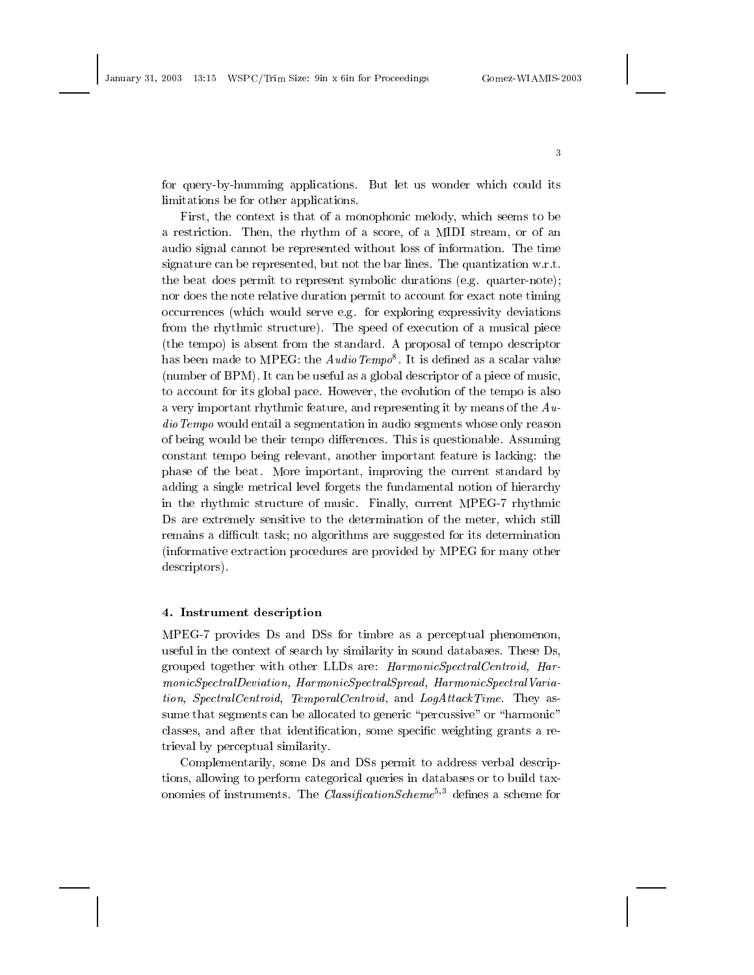for query-by-humming applications. But let us wonder which could its limitations be for other applications.

First, the context is that of a monophonic melody, which seems to be a restriction. Then, the rhythm of a score, of a MIDI stream, or of an audio signal cannot be represented without loss of information. The time signature can be represented, but not the bar lines. The quantization w.r.t. the beat does permit to represent symbolic durations (e.g. quarter-note); nor does the note relative duration permit to account for exact note timing occurrences (which would serve e.g. for exploring expressivity deviations from the rhythmic structure). The speed of execution of a musical piece (the tempo) is absent from the standard. A proposal of tempo descriptor  $\max$  been made to NIFEG: the  $AuuvI$ e $mpo^*$  . It is defined as a scalar value (number of BPM). It can be useful as a global descriptor of a piece of music, to account for its global pace. However, the evolution of the tempo is also a very important rhythmic feature, and representing it by means of the  $Au$ dioTempo would entail a segmentation in audio segments whose only reason of being would be their tempo differences. This is questionable. Assuming constant tempo being relevant, another important feature is lacking: the phase of the beat. More important, improving the current standard by adding a single metrical level forgets the fundamental notion of hierarchy in the rhythmic structure of music. Finally, current MPEG-7 rhythmic Ds are extremely sensitive to the determination of the meter, which still remains a difficult task; no algorithms are suggested for its determination (informative extraction procedures are provided by MPEG for many other descriptors).

### 4. Instrument description

MPEG-7 provides Ds and DSs for timbre as a perceptual phenomenon, useful in the context of search by similarity in sound databases. These Ds, grouped together with other LLDs are: HarmonicSpectralCentroid, HarmonicSpectralDeviation, HarmonicSpectralSpread, HarmonicSpectralVariation, SpectralCentroid, TemporalCentroid, and LogAttackTime. They assume that segments can be allocated to generic "percussive" or "harmonic" classes, and after that identication, some specic weighting grants a retrieval by perceptual similarity.

Complementarily, some Ds and DSs permit to address verbal descriptions, allowing to perform categorical queries in databases or to build taxonomies of instruments. The *ClassificationScheme*<sup>5,3</sup> defines a scheme for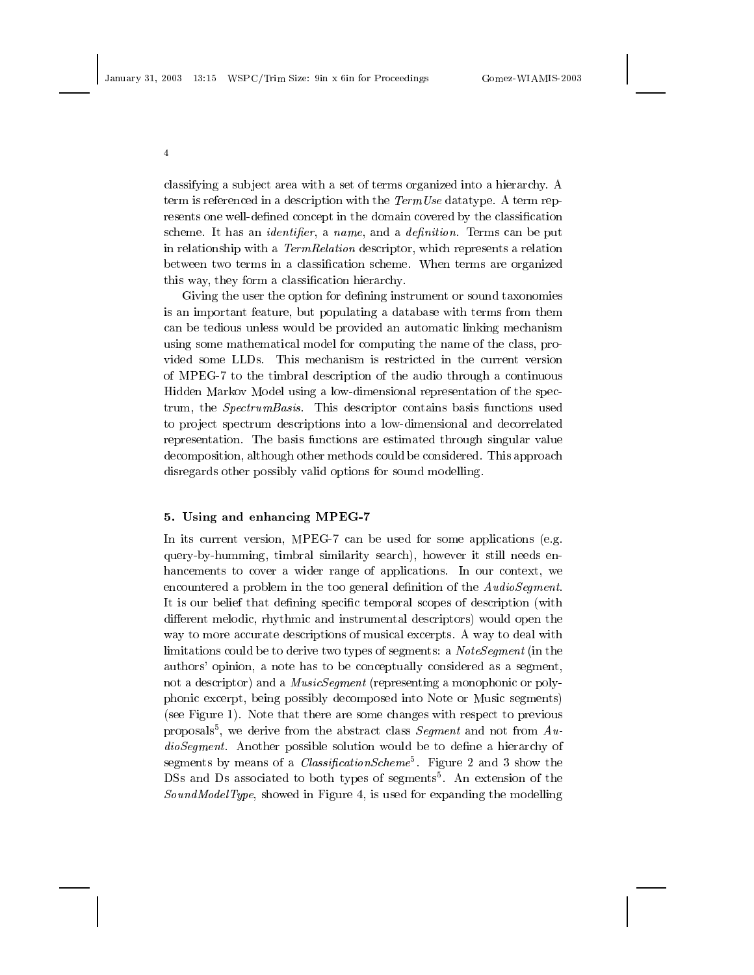classifying a sub ject area with a set of terms organized into a hierarchy. A term is referenced in a description with the  $TermUse$  datatype. A term represents one well-defined concept in the domain covered by the classification scheme. It has an *identifier*, a name, and a *definition*. Terms can be put in relationship with a  $TermRelation$  descriptor, which represents a relation between two terms in a classication scheme. When terms are organized this way, they form a classication hierarchy.

Giving the user the option for defining instrument or sound taxonomies is an important feature, but populating a database with terms from them can be tedious unless would be provided an automatic linking mechanism using some mathematical model for computing the name of the class, provided some LLDs. This mechanism is restricted in the current version of MPEG-7 to the timbral description of the audio through a continuous Hidden Markov Model using a low-dimensional representation of the spectrum, the SpectrumBasis. This descriptor contains basis functions used to project spectrum descriptions into a low-dimensional and decorrelated representation. The basis functions are estimated through singular value decomposition, although other methods could be considered. This approach disregards other possibly valid options for sound modelling.

## 5. Using and enhancing MPEG-7

In its current version, MPEG-7 can be used for some applications (e.g. query-by-humming, timbral similarity search), however it still needs enhancements to cover a wider range of applications. In our context, we encountered a problem in the too general definition of the AudioSegment. It is our belief that defining specific temporal scopes of description (with different melodic, rhythmic and instrumental descriptors) would open the way to more accurate descriptions of musical excerpts. A way to deal with limitations could be to derive two types of segments: a *NoteSegment* (in the authors' opinion, a note has to be conceptually considered as a segment, not a descriptor) and a *MusicSegment* (representing a monophonic or polyphonic excerpt, being possibly decomposed into Note or Music segments) (see Figure 1). Note that there are some changes with respect to previous proposals, we derive from the abstract class *Segment* and not from  $Au$ dioSegment. Another possible solution would be to define a hierarchy of segments by means of a  $\emph{Classification}$  cheme Figure 2 and 3 show the DSs and Ds associated to both types of segments". An extension of the SoundModelType, showed in Figure 4, is used for expanding the modelling

 $\overline{4}$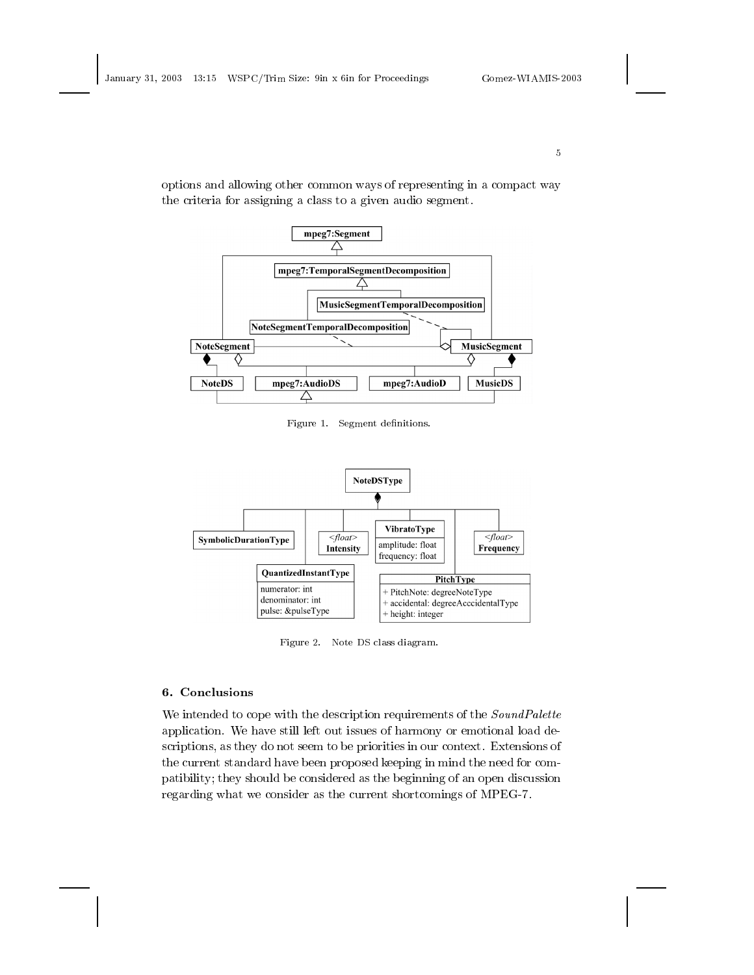options and allowing other common ways of representing in a compact way the criteria for assigning a class to a given audio segment.



Figure 1. Segment definitions.



Figure 2. Note DS class diagram.

## 6. Conclusions

We intended to cope with the description requirements of the  $SoundPalette$ application. We have still left out issues of harmony or emotional load descriptions, as they do not seem to be priorities in our context. Extensions of the current standard have been proposed keeping in mind the need for compatibility; they should be considered as the beginning of an open discussion regarding what we consider as the current shortcomings of MPEG-7.